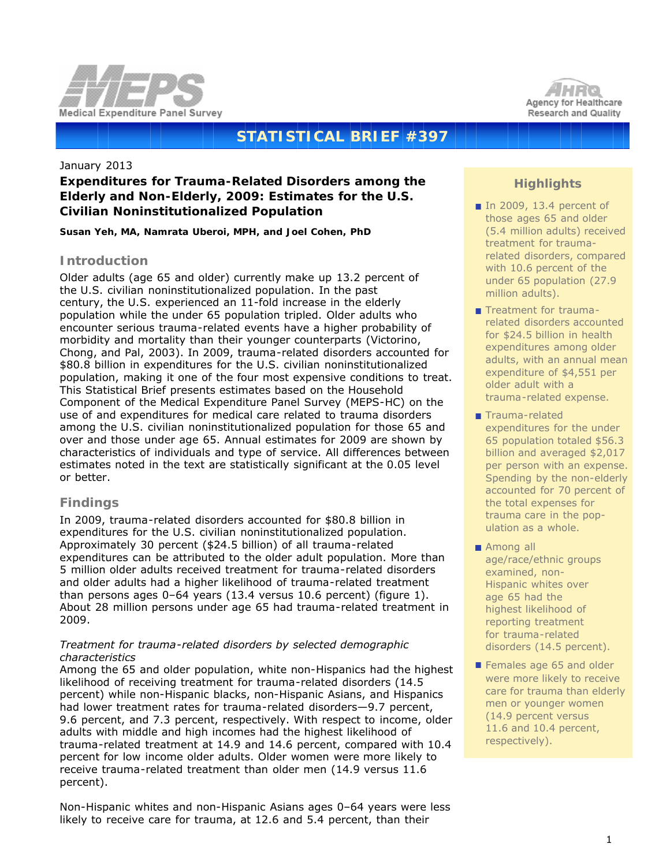



# **STATISTICAL BRIEF #397**

#### January 2013

# **Expenditures for Trauma-Related Disorders among the Elderly and Non-Elderly, 2009: Estimates for the U.S. Civilian Noninstitutionalized Population**

*Susan Yeh, MA, Namrata Uberoi, MPH, and Joel Cohen, PhD*

### **Introduction**

Older adults (age 65 and older) currently make up 13.2 percent of the U.S. civilian noninstitutionalized population. In the past century, the U.S. experienced an 11-fold increase in the elderly population while the under 65 population tripled. Older adults who encounter serious trauma-related events have a higher probability of morbidity and mortality than their younger counterparts (Victorino, Chong, and Pal, 2003). In 2009, trauma-related disorders accounted for \$80.8 billion in expenditures for the U.S. civilian noninstitutionalized population, making it one of the four most expensive conditions to treat. This Statistical Brief presents estimates based on the Household Component of the Medical Expenditure Panel Survey (MEPS-HC) on the use of and expenditures for medical care related to trauma disorders among the U.S. civilian noninstitutionalized population for those 65 and over and those under age 65. Annual estimates for 2009 are shown by characteristics of individuals and type of service. All differences between estimates noted in the text are statistically significant at the 0.05 level or better.

# **Findings**

In 2009, trauma-related disorders accounted for \$80.8 billion in expenditures for the U.S. civilian noninstitutionalized population. Approximately 30 percent (\$24.5 billion) of all trauma-related expenditures can be attributed to the older adult population. More than 5 million older adults received treatment for trauma-related disorders and older adults had a higher likelihood of trauma-related treatment than persons ages 0–64 years (13.4 versus 10.6 percent) (figure 1). About 28 million persons under age 65 had trauma-related treatment in 2009.

#### *Treatment for trauma-related disorders by selected demographic characteristics*

Among the 65 and older population, white non-Hispanics had the highest likelihood of receiving treatment for trauma-related disorders (14.5 percent) while non-Hispanic blacks, non-Hispanic Asians, and Hispanics had lower treatment rates for trauma-related disorders—9.7 percent, 9.6 percent, and 7.3 percent, respectively. With respect to income, older adults with middle and high incomes had the highest likelihood of trauma-related treatment at 14.9 and 14.6 percent, compared with 10.4 percent for low income older adults. Older women were more likely to receive trauma-related treatment than older men (14.9 versus 11.6 percent).

Non-Hispanic whites and non-Hispanic Asians ages 0–64 years were less likely to receive care for trauma, at 12.6 and 5.4 percent, than their

# **Highlights**

- In 2009, 13.4 percent of those ages 65 and older (5.4 million adults) received treatment for traumarelated disorders, compared with 10.6 percent of the under 65 population (27.9 million adults).
- Treatment for traumarelated disorders accounted for \$24.5 billion in health expenditures among older adults, with an annual mean expenditure of \$4,551 per older adult with a trauma-related expense.
- Trauma-related expenditures for the under 65 population totaled \$56.3 billion and averaged \$2,017 per person with an expense. Spending by the non-elderly accounted for 70 percent of the total expenses for trauma care in the population as a whole.
- Among all age/race/ethnic groups examined, non-Hispanic whites over age 65 had the highest likelihood of reporting treatment for trauma-related disorders (14.5 percent).
- Females age 65 and older were more likely to receive care for trauma than elderly men or younger women (14.9 percent versus 11.6 and 10.4 percent, respectively).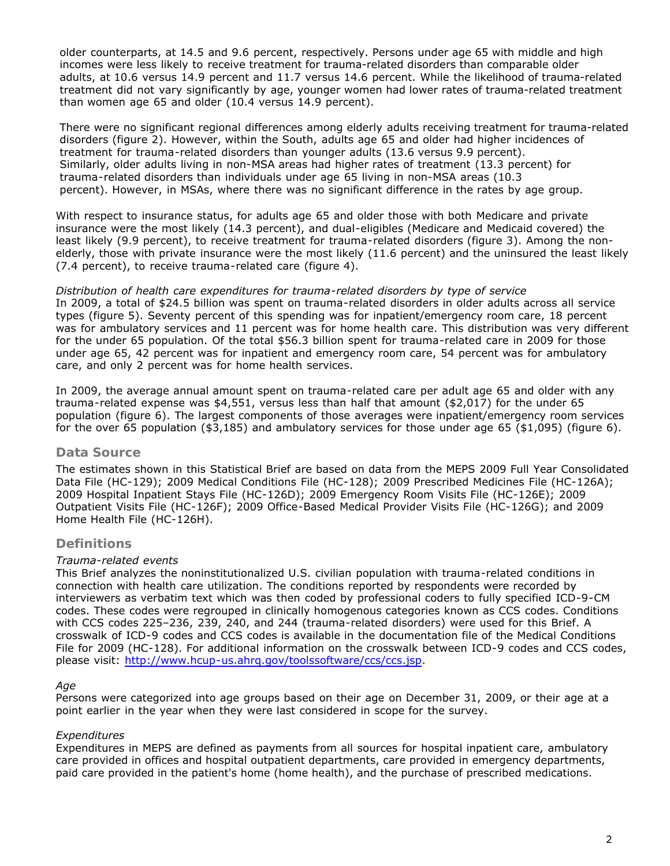older counterparts, at 14.5 and 9.6 percent, respectively. Persons under age 65 with middle and high incomes were less likely to receive treatment for trauma-related disorders than comparable older adults, at 10.6 versus 14.9 percent and 11.7 versus 14.6 percent. While the likelihood of trauma-related treatment did not vary significantly by age, younger women had lower rates of trauma-related treatment than women age 65 and older (10.4 versus 14.9 percent).

There were no significant regional differences among elderly adults receiving treatment for trauma-related disorders (figure 2). However, within the South, adults age 65 and older had higher incidences of treatment for trauma-related disorders than younger adults (13.6 versus 9.9 percent). Similarly, older adults living in non-MSA areas had higher rates of treatment (13.3 percent) for trauma-related disorders than individuals under age 65 living in non-MSA areas (10.3 percent). However, in MSAs, where there was no significant difference in the rates by age group.

With respect to insurance status, for adults age 65 and older those with both Medicare and private insurance were the most likely (14.3 percent), and dual-eligibles (Medicare and Medicaid covered) the least likely (9.9 percent), to receive treatment for trauma-related disorders (figure 3). Among the nonelderly, those with private insurance were the most likely (11.6 percent) and the uninsured the least likely (7.4 percent), to receive trauma-related care (figure 4).

*Distribution of health care expenditures for trauma-related disorders by type of service* In 2009, a total of \$24.5 billion was spent on trauma-related disorders in older adults across all service types (figure 5). Seventy percent of this spending was for inpatient/emergency room care, 18 percent was for ambulatory services and 11 percent was for home health care. This distribution was very different for the under 65 population. Of the total \$56.3 billion spent for trauma-related care in 2009 for those under age 65, 42 percent was for inpatient and emergency room care, 54 percent was for ambulatory care, and only 2 percent was for home health services.

In 2009, the average annual amount spent on trauma-related care per adult age 65 and older with any trauma-related expense was \$4,551, versus less than half that amount (\$2,017) for the under 65 population (figure 6). The largest components of those averages were inpatient/emergency room services for the over 65 population (\$3,185) and ambulatory services for those under age 65 (\$1,095) (figure 6).

### **Data Source**

The estimates shown in this Statistical Brief are based on data from the MEPS 2009 Full Year Consolidated Data File (HC-129); 2009 Medical Conditions File (HC-128); 2009 Prescribed Medicines File (HC-126A); 2009 Hospital Inpatient Stays File (HC-126D); 2009 Emergency Room Visits File (HC-126E); 2009 Outpatient Visits File (HC-126F); 2009 Office-Based Medical Provider Visits File (HC-126G); and 2009 Home Health File (HC-126H).

# **Definitions**

### *Trauma-related events*

This Brief analyzes the noninstitutionalized U.S. civilian population with trauma-related conditions in connection with health care utilization. The conditions reported by respondents were recorded by interviewers as verbatim text which was then coded by professional coders to fully specified ICD-9-CM codes. These codes were regrouped in clinically homogenous categories known as CCS codes. Conditions with CCS codes 225–236, 239, 240, and 244 (trauma-related disorders) were used for this Brief. A crosswalk of ICD-9 codes and CCS codes is available in the documentation file of the Medical Conditions File for 2009 (HC-128). For additional information on the crosswalk between ICD-9 codes and CCS codes, please visit: [http://www.hcup-us.ahrq.gov/toolssoftware/ccs/ccs.jsp.](http://www.hcup-us.ahrq.gov/toolssoftware/ccs/ccs.jsp)

### *Age*

Persons were categorized into age groups based on their age on December 31, 2009, or their age at a point earlier in the year when they were last considered in scope for the survey.

### *Expenditures*

Expenditures in MEPS are defined as payments from all sources for hospital inpatient care, ambulatory care provided in offices and hospital outpatient departments, care provided in emergency departments, paid care provided in the patient's home (home health), and the purchase of prescribed medications.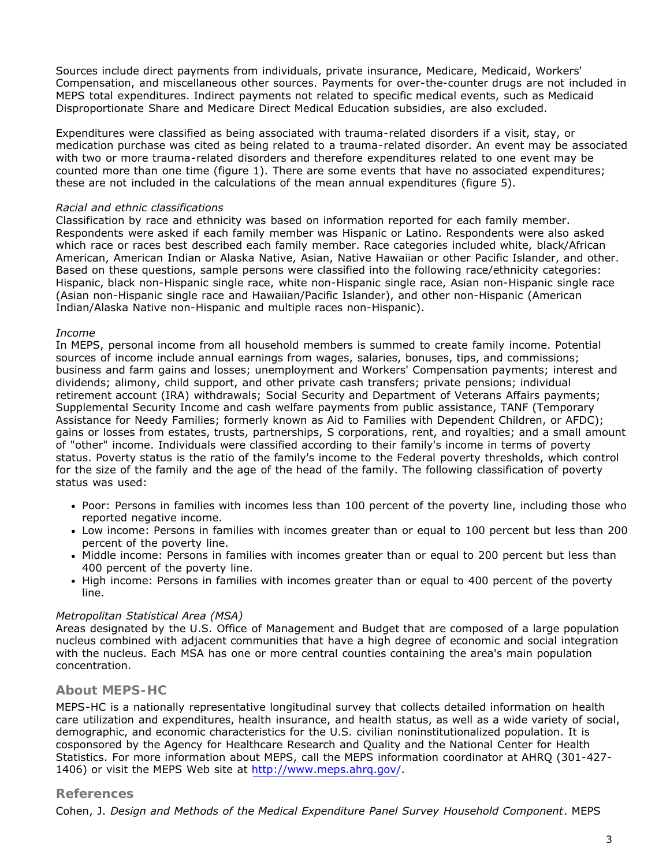Sources include direct payments from individuals, private insurance, Medicare, Medicaid, Workers' Compensation, and miscellaneous other sources. Payments for over-the-counter drugs are not included in MEPS total expenditures. Indirect payments not related to specific medical events, such as Medicaid Disproportionate Share and Medicare Direct Medical Education subsidies, are also excluded.

Expenditures were classified as being associated with trauma-related disorders if a visit, stay, or medication purchase was cited as being related to a trauma-related disorder. An event may be associated with two or more trauma-related disorders and therefore expenditures related to one event may be counted more than one time (figure 1). There are some events that have no associated expenditures; these are not included in the calculations of the mean annual expenditures (figure 5).

#### *Racial and ethnic classifications*

Classification by race and ethnicity was based on information reported for each family member. Respondents were asked if each family member was Hispanic or Latino. Respondents were also asked which race or races best described each family member. Race categories included white, black/African American, American Indian or Alaska Native, Asian, Native Hawaiian or other Pacific Islander, and other. Based on these questions, sample persons were classified into the following race/ethnicity categories: Hispanic, black non-Hispanic single race, white non-Hispanic single race, Asian non-Hispanic single race (Asian non-Hispanic single race and Hawaiian/Pacific Islander), and other non-Hispanic (American Indian/Alaska Native non-Hispanic and multiple races non-Hispanic).

#### *Income*

In MEPS, personal income from all household members is summed to create family income. Potential sources of income include annual earnings from wages, salaries, bonuses, tips, and commissions; business and farm gains and losses; unemployment and Workers' Compensation payments; interest and dividends; alimony, child support, and other private cash transfers; private pensions; individual retirement account (IRA) withdrawals; Social Security and Department of Veterans Affairs payments; Supplemental Security Income and cash welfare payments from public assistance, TANF (Temporary Assistance for Needy Families; formerly known as Aid to Families with Dependent Children, or AFDC); gains or losses from estates, trusts, partnerships, S corporations, rent, and royalties; and a small amount of "other" income. Individuals were classified according to their family's income in terms of poverty status. Poverty status is the ratio of the family's income to the Federal poverty thresholds, which control for the size of the family and the age of the head of the family. The following classification of poverty status was used:

- Poor: Persons in families with incomes less than 100 percent of the poverty line, including those who reported negative income.
- Low income: Persons in families with incomes greater than or equal to 100 percent but less than 200 percent of the poverty line.
- Middle income: Persons in families with incomes greater than or equal to 200 percent but less than 400 percent of the poverty line.
- High income: Persons in families with incomes greater than or equal to 400 percent of the poverty line.

### *Metropolitan Statistical Area (MSA)*

Areas designated by the U.S. Office of Management and Budget that are composed of a large population nucleus combined with adjacent communities that have a high degree of economic and social integration with the nucleus. Each MSA has one or more central counties containing the area's main population concentration.

### **About MEPS-HC**

MEPS-HC is a nationally representative longitudinal survey that collects detailed information on health care utilization and expenditures, health insurance, and health status, as well as a wide variety of social, demographic, and economic characteristics for the U.S. civilian noninstitutionalized population. It is cosponsored by the Agency for Healthcare Research and Quality and the National Center for Health Statistics. For more information about MEPS, call the MEPS information coordinator at AHRQ (301-427- 1406) or visit the MEPS Web site at [http://www.meps.ahrq.gov/.](http://www.meps.ahrq.gov/)

### **References**

Cohen, J. *Design and Methods of the Medical Expenditure Panel Survey Household Component*. MEPS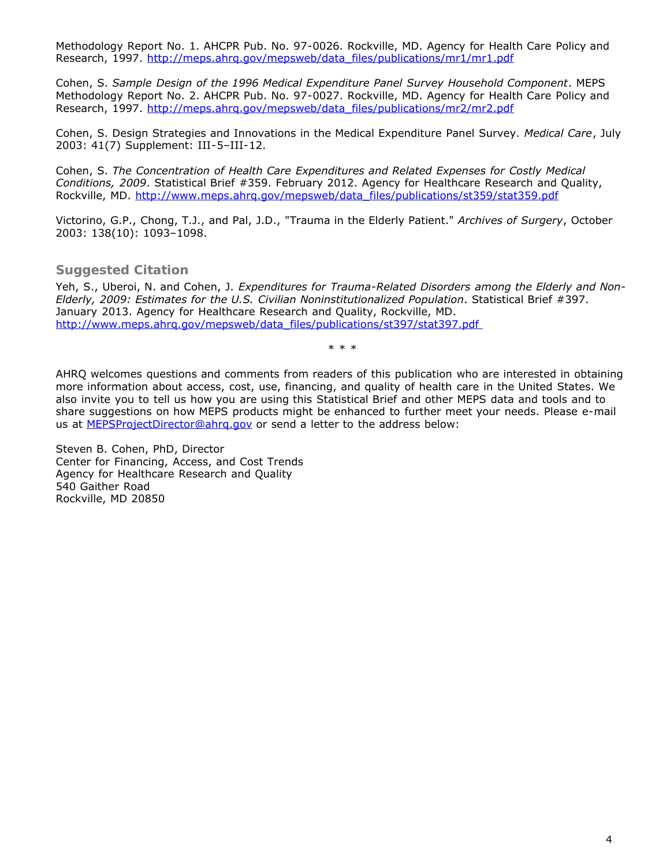Methodology Report No. 1. AHCPR Pub. No. 97-0026. Rockville, MD. Agency for Health Care Policy and Research, 1997. [http://meps.ahrq.gov/mepsweb/data\\_files/publications/mr1/mr1.pdf](http://meps.ahrq.gov/mepsweb/data_files/publications/mr1/mr1.pdf)

Cohen, S. *Sample Design of the 1996 Medical Expenditure Panel Survey Household Component*. MEPS Methodology Report No. 2. AHCPR Pub. No. 97-0027. Rockville, MD. Agency for Health Care Policy and Research, 1997. [http://meps.ahrq.gov/mepsweb/data\\_files/publications/mr2/mr2.pdf](http://meps.ahrq.gov/mepsweb/data_files/publications/mr2/mr2.pdf)

Cohen, S. Design Strategies and Innovations in the Medical Expenditure Panel Survey. *Medical Care*, July 2003: 41(7) Supplement: III-5–III-12.

Cohen, S. *The Concentration of Health Care Expenditures and Related Expenses for Costly Medical Conditions, 2009*. Statistical Brief #359. February 2012. Agency for Healthcare Research and Quality, Rockville, MD. [http://www.meps.ahrq.gov/mepsweb/data\\_files/publications/st359/stat359.pdf](http://www.meps.ahrq.gov/mepsweb/data_files/publications/st359/stat359.pdf)

Victorino, G.P., Chong, T.J., and Pal, J.D., "Trauma in the Elderly Patient." *Archives of Surgery*, October 2003: 138(10): 1093–1098.

### **Suggested Citation**

Yeh, S., Uberoi, N. and Cohen, J. *Expenditures for Trauma-Related Disorders among the Elderly and Non-Elderly, 2009: Estimates for the U.S. Civilian Noninstitutionalized Population*. Statistical Brief #397. January 2013. Agency for Healthcare Research and Quality, Rockville, MD. [http://www.meps.ahrq.gov/mepsweb/data\\_files/publications/st397/stat397.pdf](http://www.meps.ahrq.gov/mepsweb/data_files/publications/st397/stat397.pdf)

\* \* \*

AHRQ welcomes questions and comments from readers of this publication who are interested in obtaining more information about access, cost, use, financing, and quality of health care in the United States. We also invite you to tell us how you are using this Statistical Brief and other MEPS data and tools and to share suggestions on how MEPS products might be enhanced to further meet your needs. Please e-mail us at [MEPSProjectDirector@ahrq.gov](mailto:MEPSProjectDirector@ahrq.gov) or send a letter to the address below:

Steven B. Cohen, PhD, Director Center for Financing, Access, and Cost Trends Agency for Healthcare Research and Quality 540 Gaither Road Rockville, MD 20850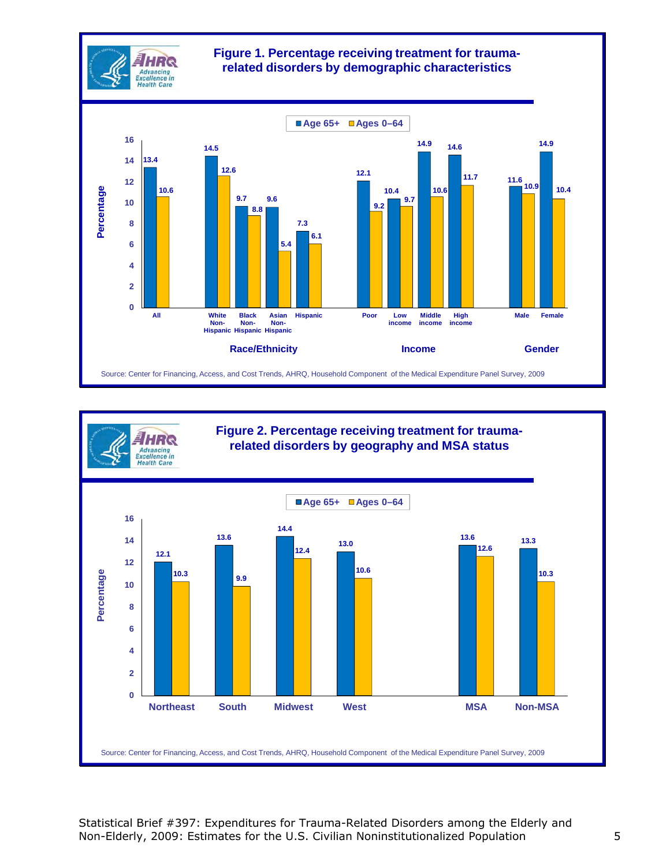



Statistical Brief #397: Expenditures for Trauma-Related Disorders among the Elderly and Non-Elderly, 2009: Estimates for the U.S. Civilian Noninstitutionalized Population 5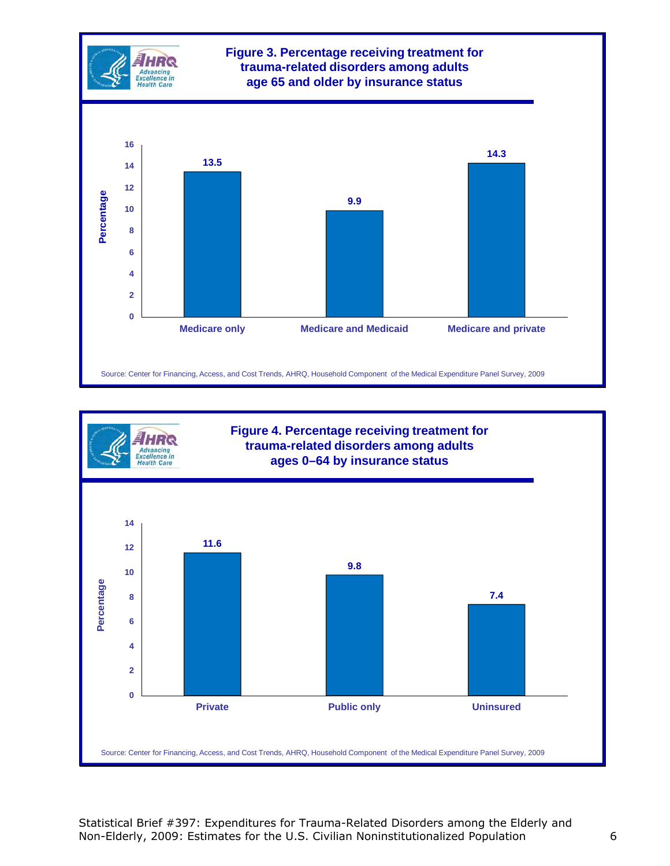



Statistical Brief #397: Expenditures for Trauma-Related Disorders among the Elderly and Non-Elderly, 2009: Estimates for the U.S. Civilian Noninstitutionalized Population 6